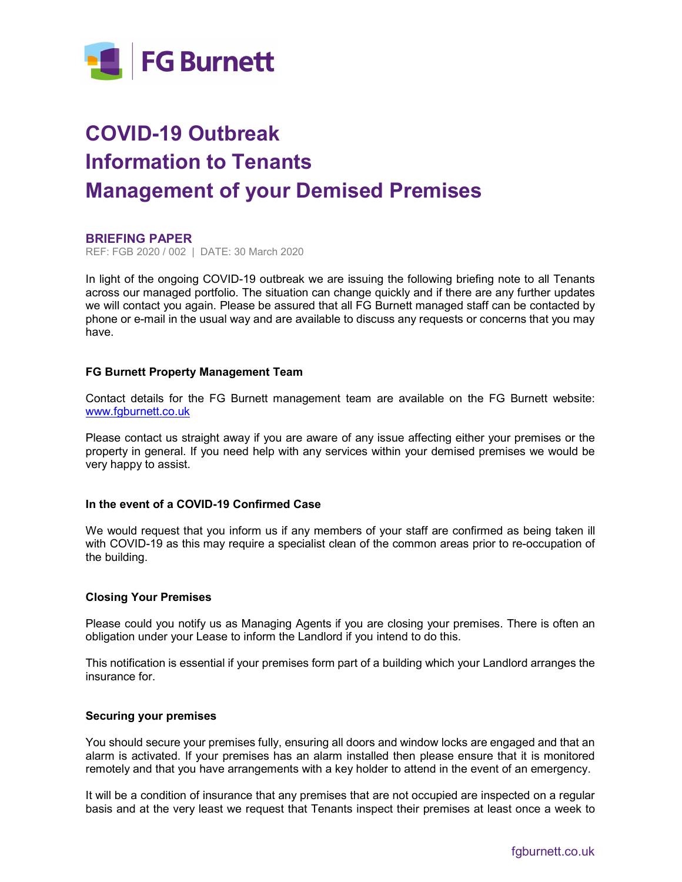

# COVID-19 Outbreak Information to Tenants Management of your Demised Premises

# BRIEFING PAPER

REF: FGB 2020 / 002 | DATE: 30 March 2020

In light of the ongoing COVID-19 outbreak we are issuing the following briefing note to all Tenants across our managed portfolio. The situation can change quickly and if there are any further updates we will contact you again. Please be assured that all FG Burnett managed staff can be contacted by phone or e-mail in the usual way and are available to discuss any requests or concerns that you may have.

## FG Burnett Property Management Team

Contact details for the FG Burnett management team are available on the FG Burnett website: www.fgburnett.co.uk

Please contact us straight away if you are aware of any issue affecting either your premises or the property in general. If you need help with any services within your demised premises we would be very happy to assist.

## In the event of a COVID-19 Confirmed Case

We would request that you inform us if any members of your staff are confirmed as being taken ill with COVID-19 as this may require a specialist clean of the common areas prior to re-occupation of the building.

## Closing Your Premises

Please could you notify us as Managing Agents if you are closing your premises. There is often an obligation under your Lease to inform the Landlord if you intend to do this.

This notification is essential if your premises form part of a building which your Landlord arranges the insurance for.

### Securing your premises

You should secure your premises fully, ensuring all doors and window locks are engaged and that an alarm is activated. If your premises has an alarm installed then please ensure that it is monitored remotely and that you have arrangements with a key holder to attend in the event of an emergency.

It will be a condition of insurance that any premises that are not occupied are inspected on a regular basis and at the very least we request that Tenants inspect their premises at least once a week to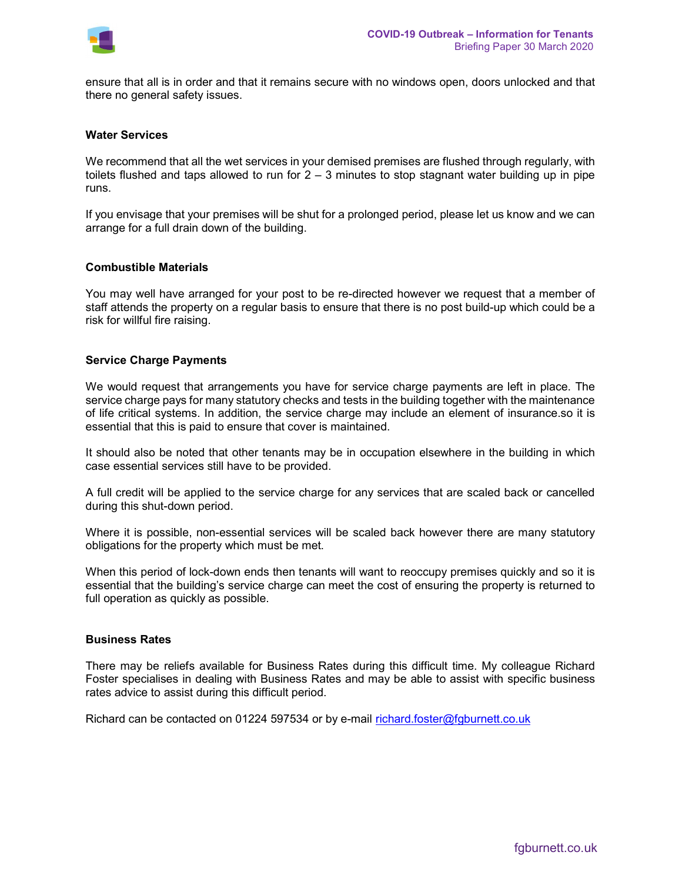

ensure that all is in order and that it remains secure with no windows open, doors unlocked and that there no general safety issues.

# Water Services

We recommend that all the wet services in your demised premises are flushed through regularly, with toilets flushed and taps allowed to run for  $2 - 3$  minutes to stop stagnant water building up in pipe runs.

If you envisage that your premises will be shut for a prolonged period, please let us know and we can arrange for a full drain down of the building.

#### Combustible Materials

You may well have arranged for your post to be re-directed however we request that a member of staff attends the property on a regular basis to ensure that there is no post build-up which could be a risk for willful fire raising.

#### Service Charge Payments

We would request that arrangements you have for service charge payments are left in place. The service charge pays for many statutory checks and tests in the building together with the maintenance of life critical systems. In addition, the service charge may include an element of insurance.so it is essential that this is paid to ensure that cover is maintained.

It should also be noted that other tenants may be in occupation elsewhere in the building in which case essential services still have to be provided.

A full credit will be applied to the service charge for any services that are scaled back or cancelled during this shut-down period.

Where it is possible, non-essential services will be scaled back however there are many statutory obligations for the property which must be met.

When this period of lock-down ends then tenants will want to reoccupy premises quickly and so it is essential that the building's service charge can meet the cost of ensuring the property is returned to full operation as quickly as possible.

## Business Rates

There may be reliefs available for Business Rates during this difficult time. My colleague Richard Foster specialises in dealing with Business Rates and may be able to assist with specific business rates advice to assist during this difficult period.

Richard can be contacted on 01224 597534 or by e-mail richard.foster@fgburnett.co.uk